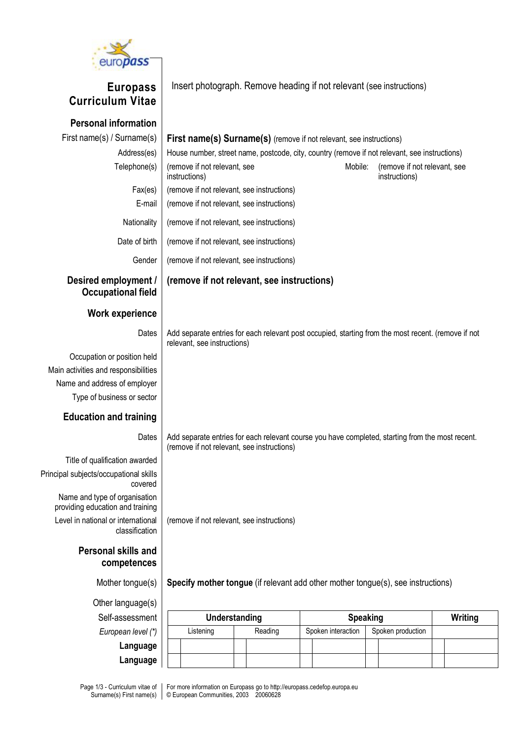

## **Europass Curriculum Vitae**

Insert photograph. Remove heading if not relevant (see instructions)

| <b>Personal information</b>                                       |                                                                                                                                                |                                            |  |                                                                                  |                 |                    |  |                   |  |                |
|-------------------------------------------------------------------|------------------------------------------------------------------------------------------------------------------------------------------------|--------------------------------------------|--|----------------------------------------------------------------------------------|-----------------|--------------------|--|-------------------|--|----------------|
| First name(s) / Surname(s)                                        | First name(s) Surname(s) (remove if not relevant, see instructions)                                                                            |                                            |  |                                                                                  |                 |                    |  |                   |  |                |
| Address(es)                                                       | House number, street name, postcode, city, country (remove if not relevant, see instructions)                                                  |                                            |  |                                                                                  |                 |                    |  |                   |  |                |
| Telephone(s)                                                      | (remove if not relevant, see<br>Mobile:<br>(remove if not relevant, see<br>instructions)<br>instructions)                                      |                                            |  |                                                                                  |                 |                    |  |                   |  |                |
| Fax(es)                                                           | (remove if not relevant, see instructions)                                                                                                     |                                            |  |                                                                                  |                 |                    |  |                   |  |                |
| E-mail                                                            | (remove if not relevant, see instructions)                                                                                                     |                                            |  |                                                                                  |                 |                    |  |                   |  |                |
| Nationality                                                       | (remove if not relevant, see instructions)                                                                                                     |                                            |  |                                                                                  |                 |                    |  |                   |  |                |
| Date of birth                                                     | (remove if not relevant, see instructions)                                                                                                     |                                            |  |                                                                                  |                 |                    |  |                   |  |                |
| Gender                                                            | (remove if not relevant, see instructions)                                                                                                     |                                            |  |                                                                                  |                 |                    |  |                   |  |                |
| Desired employment /<br><b>Occupational field</b>                 |                                                                                                                                                |                                            |  | (remove if not relevant, see instructions)                                       |                 |                    |  |                   |  |                |
| <b>Work experience</b>                                            |                                                                                                                                                |                                            |  |                                                                                  |                 |                    |  |                   |  |                |
| Dates                                                             | Add separate entries for each relevant post occupied, starting from the most recent. (remove if not<br>relevant, see instructions)             |                                            |  |                                                                                  |                 |                    |  |                   |  |                |
| Occupation or position held                                       |                                                                                                                                                |                                            |  |                                                                                  |                 |                    |  |                   |  |                |
| Main activities and responsibilities                              |                                                                                                                                                |                                            |  |                                                                                  |                 |                    |  |                   |  |                |
| Name and address of employer                                      |                                                                                                                                                |                                            |  |                                                                                  |                 |                    |  |                   |  |                |
| Type of business or sector                                        |                                                                                                                                                |                                            |  |                                                                                  |                 |                    |  |                   |  |                |
| <b>Education and training</b>                                     |                                                                                                                                                |                                            |  |                                                                                  |                 |                    |  |                   |  |                |
| Dates                                                             | Add separate entries for each relevant course you have completed, starting from the most recent.<br>(remove if not relevant, see instructions) |                                            |  |                                                                                  |                 |                    |  |                   |  |                |
| Title of qualification awarded                                    |                                                                                                                                                |                                            |  |                                                                                  |                 |                    |  |                   |  |                |
| Principal subjects/occupational skills<br>covered                 |                                                                                                                                                |                                            |  |                                                                                  |                 |                    |  |                   |  |                |
| Name and type of organisation<br>providing education and training |                                                                                                                                                |                                            |  |                                                                                  |                 |                    |  |                   |  |                |
| Level in national or international<br>classification              |                                                                                                                                                | (remove if not relevant, see instructions) |  |                                                                                  |                 |                    |  |                   |  |                |
| <b>Personal skills and</b><br>competences                         |                                                                                                                                                |                                            |  |                                                                                  |                 |                    |  |                   |  |                |
| Mother tongue(s)                                                  |                                                                                                                                                |                                            |  | Specify mother tongue (if relevant add other mother tongue(s), see instructions) |                 |                    |  |                   |  |                |
| Other language(s)                                                 |                                                                                                                                                |                                            |  |                                                                                  |                 |                    |  |                   |  |                |
| Self-assessment                                                   |                                                                                                                                                | Understanding                              |  |                                                                                  | <b>Speaking</b> |                    |  |                   |  | <b>Writing</b> |
| European level (*)                                                |                                                                                                                                                | Listening                                  |  | Reading                                                                          |                 | Spoken interaction |  | Spoken production |  |                |
| Language                                                          |                                                                                                                                                |                                            |  |                                                                                  |                 |                    |  |                   |  |                |
| Language                                                          |                                                                                                                                                |                                            |  |                                                                                  |                 |                    |  |                   |  |                |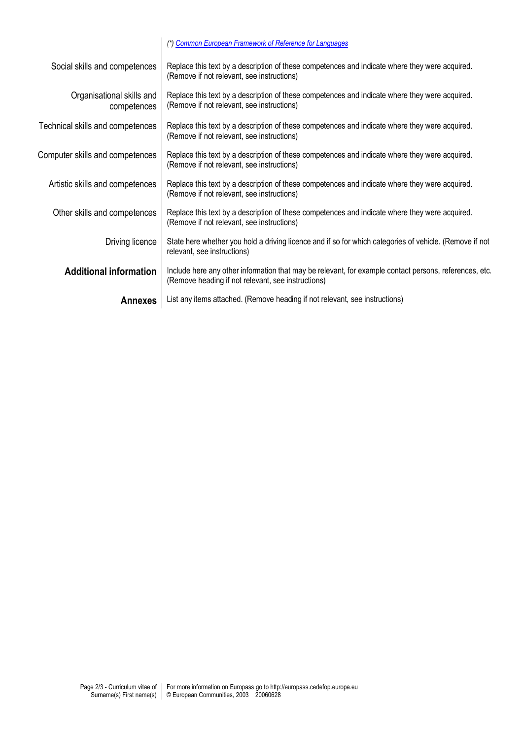|                                          | (*) Common European Framework of Reference for Languages                                                                                                     |
|------------------------------------------|--------------------------------------------------------------------------------------------------------------------------------------------------------------|
| Social skills and competences            | Replace this text by a description of these competences and indicate where they were acquired.<br>(Remove if not relevant, see instructions)                 |
| Organisational skills and<br>competences | Replace this text by a description of these competences and indicate where they were acquired.<br>(Remove if not relevant, see instructions)                 |
| Technical skills and competences         | Replace this text by a description of these competences and indicate where they were acquired.<br>(Remove if not relevant, see instructions)                 |
| Computer skills and competences          | Replace this text by a description of these competences and indicate where they were acquired.<br>(Remove if not relevant, see instructions)                 |
| Artistic skills and competences          | Replace this text by a description of these competences and indicate where they were acquired.<br>(Remove if not relevant, see instructions)                 |
| Other skills and competences             | Replace this text by a description of these competences and indicate where they were acquired.<br>(Remove if not relevant, see instructions)                 |
| Driving licence                          | State here whether you hold a driving licence and if so for which categories of vehicle. (Remove if not<br>relevant, see instructions)                       |
| <b>Additional information</b>            | Include here any other information that may be relevant, for example contact persons, references, etc.<br>(Remove heading if not relevant, see instructions) |
| <b>Annexes</b>                           | List any items attached. (Remove heading if not relevant, see instructions)                                                                                  |